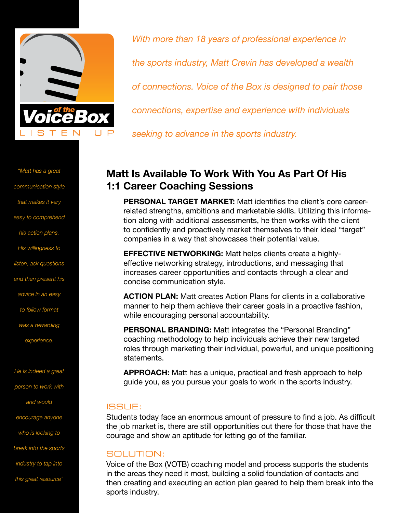

*"Matt has a great communication style that makes it very easy to comprehend his action plans. His willingness to listen, ask questions and then present his advice in an easy to follow format was a rewarding experience. He is indeed a great person to work with*

*and would*

*encourage anyone*

*who is looking to*

*break into the sports*

*industry to tap into*

*this great resource"*

*With more than 18 years of professional experience in the sports industry, Matt Crevin has developed a wealth of connections. Voice of the Box is designed to pair those connections, expertise and experience with individuals seeking to advance in the sports industry.*

# **Matt Is Available To Work With You As Part Of His 1:1 Career Coaching Sessions**

**PERSONAL TARGET MARKET:** Matt identifies the client's core careerrelated strengths, ambitions and marketable skills. Utilizing this information along with additional assessments, he then works with the client to confidently and proactively market themselves to their ideal "target" companies in a way that showcases their potential value.

**EFFECTIVE NETWORKING:** Matt helps clients create a highlyeffective networking strategy, introductions, and messaging that increases career opportunities and contacts through a clear and concise communication style.

**ACTION PLAN:** Matt creates Action Plans for clients in a collaborative manner to help them achieve their career goals in a proactive fashion, while encouraging personal accountability.

**PERSONAL BRANDING:** Matt integrates the "Personal Branding" coaching methodology to help individuals achieve their new targeted roles through marketing their individual, powerful, and unique positioning statements.

**APPROACH:** Matt has a unique, practical and fresh approach to help guide you, as you pursue your goals to work in the sports industry.

## ISSUE:

Students today face an enormous amount of pressure to find a job. As difficult the job market is, there are still opportunities out there for those that have the courage and show an aptitude for letting go of the familiar.

## SOLUTION:

Voice of the Box (VOTB) coaching model and process supports the students in the areas they need it most, building a solid foundation of contacts and then creating and executing an action plan geared to help them break into the sports industry.